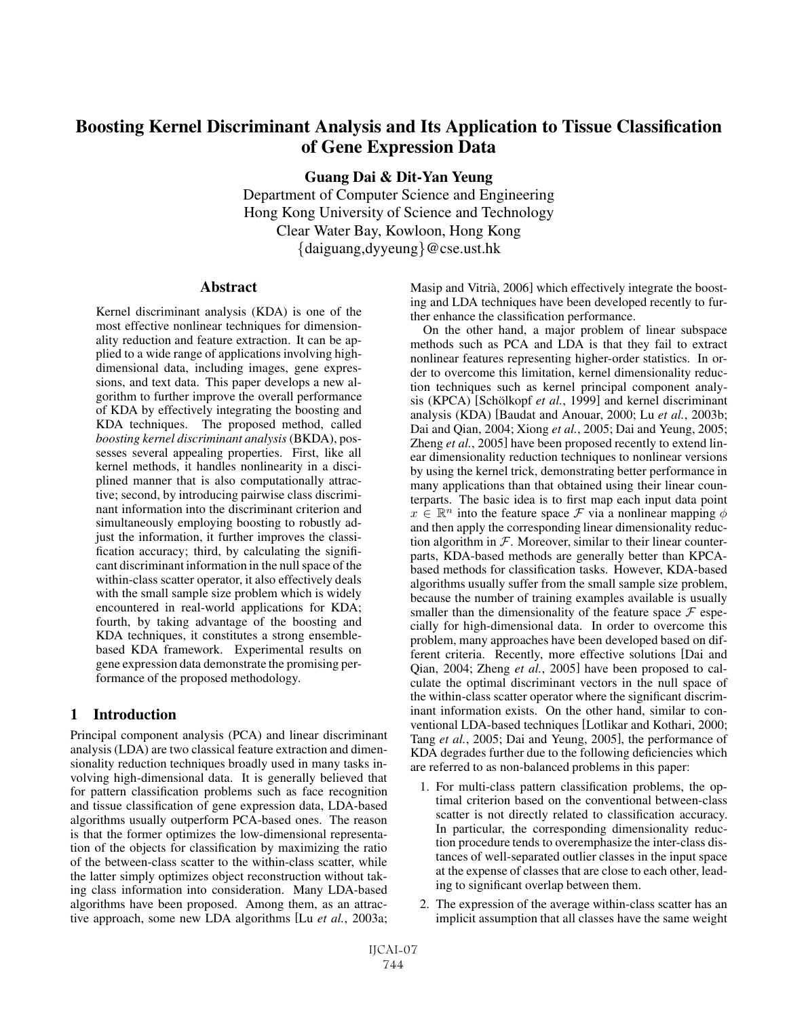# Boosting Kernel Discriminant Analysis and Its Application to Tissue Classification of Gene Expression Data

Guang Dai & Dit-Yan Yeung

Department of Computer Science and Engineering Hong Kong University of Science and Technology Clear Water Bay, Kowloon, Hong Kong {daiguang,dyyeung}@cse.ust.hk

### Abstract

Kernel discriminant analysis (KDA) is one of the most effective nonlinear techniques for dimensionality reduction and feature extraction. It can be applied to a wide range of applications involving highdimensional data, including images, gene expressions, and text data. This paper develops a new algorithm to further improve the overall performance of KDA by effectively integrating the boosting and KDA techniques. The proposed method, called *boosting kernel discriminant analysis* (BKDA), possesses several appealing properties. First, like all kernel methods, it handles nonlinearity in a disciplined manner that is also computationally attractive; second, by introducing pairwise class discriminant information into the discriminant criterion and simultaneously employing boosting to robustly adjust the information, it further improves the classification accuracy; third, by calculating the significant discriminant information in the null space of the within-class scatter operator, it also effectively deals with the small sample size problem which is widely encountered in real-world applications for KDA; fourth, by taking advantage of the boosting and KDA techniques, it constitutes a strong ensemblebased KDA framework. Experimental results on gene expression data demonstrate the promising performance of the proposed methodology.

## 1 Introduction

Principal component analysis (PCA) and linear discriminant analysis (LDA) are two classical feature extraction and dimensionality reduction techniques broadly used in many tasks involving high-dimensional data. It is generally believed that for pattern classification problems such as face recognition and tissue classification of gene expression data, LDA-based algorithms usually outperform PCA-based ones. The reason is that the former optimizes the low-dimensional representation of the objects for classification by maximizing the ratio of the between-class scatter to the within-class scatter, while the latter simply optimizes object reconstruction without taking class information into consideration. Many LDA-based algorithms have been proposed. Among them, as an attractive approach, some new LDA algorithms [Lu *et al.*, 2003a; Masip and Vitrià, 2006] which effectively integrate the boosting and LDA techniques have been developed recently to further enhance the classification performance.

On the other hand, a major problem of linear subspace methods such as PCA and LDA is that they fail to extract nonlinear features representing higher-order statistics. In order to overcome this limitation, kernel dimensionality reduction techniques such as kernel principal component analysis (KPCA) [Schölkopf et al., 1999] and kernel discriminant analysis (KDA) [Baudat and Anouar, 2000; Lu *et al.*, 2003b; Dai and Qian, 2004; Xiong *et al.*, 2005; Dai and Yeung, 2005; Zheng *et al.*, 2005] have been proposed recently to extend linear dimensionality reduction techniques to nonlinear versions by using the kernel trick, demonstrating better performance in many applications than that obtained using their linear counterparts. The basic idea is to first map each input data point  $x \in \mathbb{R}^n$  into the feature space F via a nonlinear mapping  $\phi$ and then apply the corresponding linear dimensionality reduction algorithm in  $F$ . Moreover, similar to their linear counterparts, KDA-based methods are generally better than KPCAbased methods for classification tasks. However, KDA-based algorithms usually suffer from the small sample size problem, because the number of training examples available is usually smaller than the dimensionality of the feature space  $\mathcal F$  especially for high-dimensional data. In order to overcome this problem, many approaches have been developed based on different criteria. Recently, more effective solutions [Dai and Qian, 2004; Zheng *et al.*, 2005] have been proposed to calculate the optimal discriminant vectors in the null space of the within-class scatter operator where the significant discriminant information exists. On the other hand, similar to conventional LDA-based techniques [Lotlikar and Kothari, 2000; Tang *et al.*, 2005; Dai and Yeung, 2005], the performance of KDA degrades further due to the following deficiencies which are referred to as non-balanced problems in this paper:

- 1. For multi-class pattern classification problems, the optimal criterion based on the conventional between-class scatter is not directly related to classification accuracy. In particular, the corresponding dimensionality reduction procedure tends to overemphasize the inter-class distances of well-separated outlier classes in the input space at the expense of classes that are close to each other, leading to significant overlap between them.
- 2. The expression of the average within-class scatter has an implicit assumption that all classes have the same weight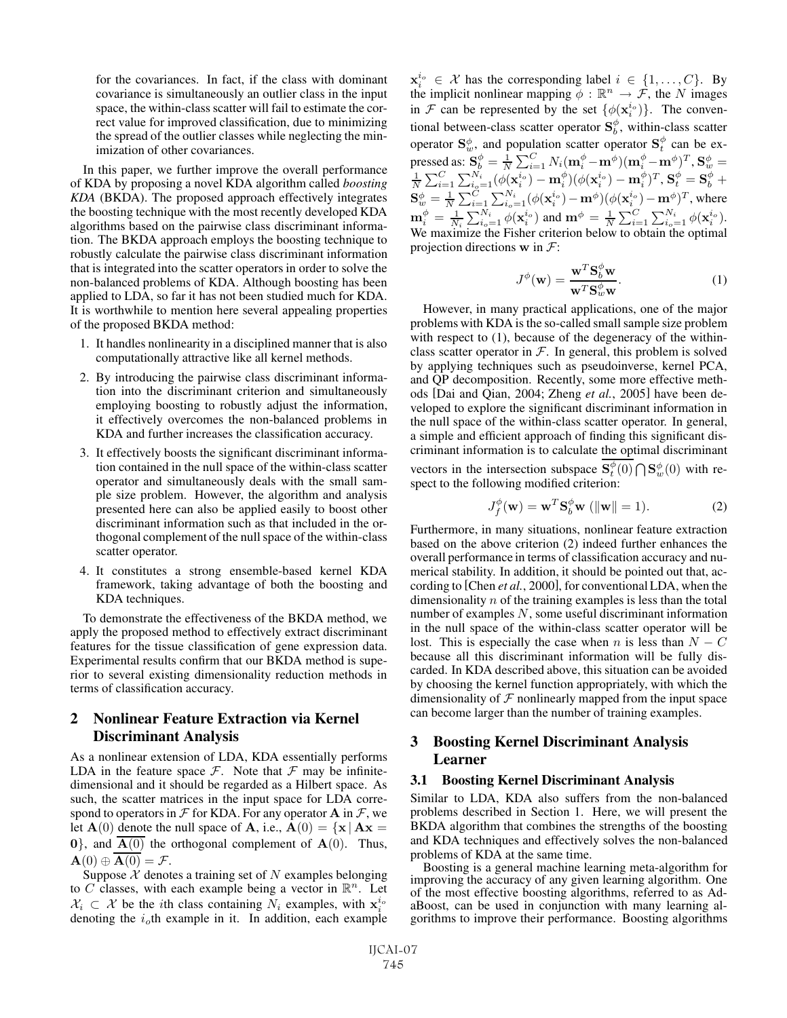for the covariances. In fact, if the class with dominant covariance is simultaneously an outlier class in the input space, the within-class scatter will fail to estimate the correct value for improved classification, due to minimizing the spread of the outlier classes while neglecting the minimization of other covariances.

In this paper, we further improve the overall performance of KDA by proposing a novel KDA algorithm called *boosting KDA* (BKDA). The proposed approach effectively integrates the boosting technique with the most recently developed KDA algorithms based on the pairwise class discriminant information. The BKDA approach employs the boosting technique to robustly calculate the pairwise class discriminant information that is integrated into the scatter operators in order to solve the non-balanced problems of KDA. Although boosting has been applied to LDA, so far it has not been studied much for KDA. It is worthwhile to mention here several appealing properties of the proposed BKDA method:

- 1. It handles nonlinearity in a disciplined manner that is also computationally attractive like all kernel methods.
- 2. By introducing the pairwise class discriminant information into the discriminant criterion and simultaneously employing boosting to robustly adjust the information, it effectively overcomes the non-balanced problems in KDA and further increases the classification accuracy.
- 3. It effectively boosts the significant discriminant information contained in the null space of the within-class scatter operator and simultaneously deals with the small sample size problem. However, the algorithm and analysis presented here can also be applied easily to boost other discriminant information such as that included in the orthogonal complement of the null space of the within-class scatter operator.
- 4. It constitutes a strong ensemble-based kernel KDA framework, taking advantage of both the boosting and KDA techniques.

To demonstrate the effectiveness of the BKDA method, we apply the proposed method to effectively extract discriminant features for the tissue classification of gene expression data. Experimental results confirm that our BKDA method is superior to several existing dimensionality reduction methods in terms of classification accuracy.

# 2 Nonlinear Feature Extraction via Kernel Discriminant Analysis

As a nonlinear extension of LDA, KDA essentially performs LDA in the feature space  $\mathcal F$ . Note that  $\mathcal F$  may be infinitedimensional and it should be regarded as a Hilbert space. As such, the scatter matrices in the input space for LDA correspond to operators in  $\mathcal F$  for KDA. For any operator **A** in  $\mathcal F$ , we let  $\mathbf{A}(0)$  denote the null space of **A**, i.e.,  $\mathbf{A}(0) = {\mathbf{x} | \mathbf{A}\mathbf{x}} =$  $\mathbf{0}$ , and  $\overline{\mathbf{A}(0)}$  the orthogonal complement of  $\mathbf{A}(0)$ . Thus,  $\mathbf{A}(0) \oplus \mathbf{A}(0) = \mathcal{F}.$ 

Suppose  $X$  denotes a training set of N examples belonging to C classes, with each example being a vector in  $\mathbb{R}^n$ . Let  $\mathcal{X}_i \subset \mathcal{X}$  be the *i*th class containing  $N_i$  examples, with  $\mathbf{x}_i^{i_0}$ denoting the  $i<sub>o</sub>$ th example in it. In addition, each example

 $\mathbf{x}_i^{i_0} \in \mathcal{X}$  has the corresponding label  $i \in \{1, \ldots, C\}$ . By the implicit nonlinear manning  $\phi : \mathbb{R}^n \to \mathcal{F}$  the N images the implicit nonlinear mapping  $\phi : \mathbb{R}^n \to \mathcal{F}$ , the N images in F can be represented by the set  $\{\phi(\mathbf{x}_i^{i_0})\}$ . The conventional between close sector operator  $\mathbf{S}^{\phi}$  within along sector tional between-class scatter operator  $S_b^{\phi}$ , within-class scatter tional between-class scatter operator  $\mathbf{S}_{b}^{\phi}$ , within-class scatter<br>operator  $\mathbf{S}_{w}^{\phi}$ , and population scatter operator  $\mathbf{S}_{t}^{\phi}$  can be ex-<br>pressed as:  $\mathbf{S}_{b}^{\phi} = \frac{1}{N} \sum_{i=1}^{C} N_{i} (\mathbf{m}_{i}^{\phi} - \mathbf$  $\begin{array}{l} \mathbf{S}_{b}^{\text{re}}=\frac{1}{N}\sum_{i=1}^{N}N_{i}(\mathbf{m}_{i}^{\phi}-\mathbf{m}^{\phi})(\mathbf{m}_{i}^{\phi}-\mathbf{m}^{\phi})^{T}, \mathbf{S}_{w}^{\phi}=\ \frac{1}{N}\sum_{i}^{N_{i}}\frac{(\mathbf{A}(\mathbf{x}^{i_{o}})-\mathbf{m}^{\phi})(\mathbf{A}(\mathbf{x}^{i_{o}})-\mathbf{m}^{\phi})^{T}}{\mathbf{A}^{\phi}}\mathbf{x}^{\phi}-\mathbf{S}^{\phi}+\mathbf{S}^{\phi} \end{array$  $\tilde{\Omega}$  $\frac{1}{N} \sum_{i=1}^{C} \sum_{i_0=1}^{N_i} (\phi(\mathbf{x}_i^{i_0}) - \mathbf{m}_i^{\phi})(\phi(\mathbf{x}_i^{i_0}) - \mathbf{m}_i^{\phi})^T, \mathbf{S}_t^{\phi} = \mathbf{S}_b^{\phi} + \mathbf{S}_w^{\phi} = \frac{1}{N} \sum_{i=1}^{C} \sum_{i_0=1}^{N_i} (\phi(\mathbf{x}_i^{i_0}) - \mathbf{m}^{\phi})(\phi(\mathbf{x}_i^{i_0}) - \mathbf{m}^{\phi})^T, \text{ where}$  $\mathbf{S}_{w}^{\phi} = \frac{1}{N} \sum_{i=1}^{C} \sum_{i_{o}=1}^{N_{i}} (\phi(\mathbf{x}_{i}^{i_{o}}) - \mathbf{m}^{\phi})(\phi(\mathbf{x}_{i}^{i_{o}}) - \mathbf{m}^{\phi})^{T}$ , where  $\mathbf{m}_{i}^{\phi} = \frac{1}{N_{i}} \sum_{i_{o}=1}^{N_{i}} \phi(\mathbf{x}_{i}^{i_{o}})$  and  $\mathbf{m}^{\phi} = \frac{1}{N} \sum_{i=1}^{C} \sum_{i_{o}=1}^{N_{i}} \phi(\mathbf{x}_{i}^{i$  $\sum_{i_o=1}^{N_i} \phi(\mathbf{x}_i^{i_o})$  and  $\mathbf{m}^{\phi} = \frac{1}{N}$  $\mathbf{m}_i^{\phi} = \frac{1}{N_i} \sum_{i_o=1}^{N_i} \phi(\mathbf{x}_i^{i_o})$  and  $\mathbf{m}^{\phi} = \frac{1}{N} \sum_{i=1}^{C} \sum_{i_o=1}^{N_i} \phi(\mathbf{x}_i^{i_o})$ .<br>We maximize the Fisher criterion below to obtain the optimal projection directions **w** in  $\mathcal{F}$ :

$$
J^{\phi}(\mathbf{w}) = \frac{\mathbf{w}^T \mathbf{S}_{b}^{\phi} \mathbf{w}}{\mathbf{w}^T \mathbf{S}_{w}^{\phi} \mathbf{w}}.
$$
 (1)

However, in many practical applications, one of the major problems with KDA is the so-called small sample size problem with respect to  $(1)$ , because of the degeneracy of the withinclass scatter operator in  $F$ . In general, this problem is solved by applying techniques such as pseudoinverse, kernel PCA, and QP decomposition. Recently, some more effective methods [Dai and Qian, 2004; Zheng *et al.*, 2005] have been developed to explore the significant discriminant information in the null space of the within-class scatter operator. In general, a simple and efficient approach of finding this significant discriminant information is to calculate the optimal discriminant vectors in the intersection subspace  $\mathbf{S}_{t}^{\varrho}(0) \cap \mathbf{S}_{w}^{\phi}(0)$  with respect to the following modified criterion: spect to the following modified criterion:

$$
J_f^{\phi}(\mathbf{w}) = \mathbf{w}^T \mathbf{S}_b^{\phi} \mathbf{w} \ (\|\mathbf{w}\| = 1). \tag{2}
$$

Furthermore, in many situations, nonlinear feature extraction based on the above criterion (2) indeed further enhances the overall performance in terms of classification accuracy and numerical stability. In addition, it should be pointed out that, according to [Chen *et al.*, 2000], for conventional LDA, when the dimensionality  $n$  of the training examples is less than the total number of examples N, some useful discriminant information in the null space of the within-class scatter operator will be lost. This is especially the case when n is less than  $N - C$ because all this discriminant information will be fully discarded. In KDA described above, this situation can be avoided by choosing the kernel function appropriately, with which the dimensionality of  $F$  nonlinearly mapped from the input space can become larger than the number of training examples.

## 3 Boosting Kernel Discriminant Analysis Learner

#### 3.1 Boosting Kernel Discriminant Analysis

Similar to LDA, KDA also suffers from the non-balanced problems described in Section 1. Here, we will present the BKDA algorithm that combines the strengths of the boosting and KDA techniques and effectively solves the non-balanced problems of KDA at the same time.

Boosting is a general machine learning meta-algorithm for improving the accuracy of any given learning algorithm. One of the most effective boosting algorithms, referred to as AdaBoost, can be used in conjunction with many learning algorithms to improve their performance. Boosting algorithms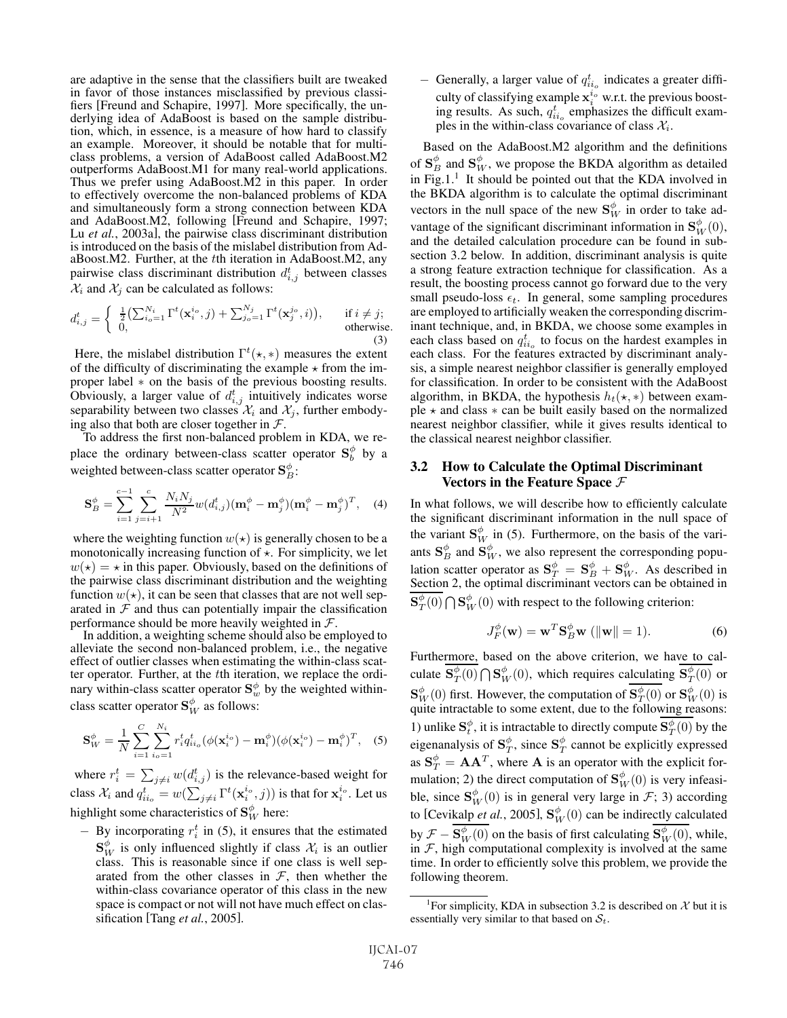are adaptive in the sense that the classifiers built are tweaked in favor of those instances misclassified by previous classifiers [Freund and Schapire, 1997]. More specifically, the underlying idea of AdaBoost is based on the sample distribution, which, in essence, is a measure of how hard to classify an example. Moreover, it should be notable that for multiclass problems, a version of AdaBoost called AdaBoost.M2 outperforms AdaBoost.M1 for many real-world applications. Thus we prefer using AdaBoost.M2 in this paper. In order to effectively overcome the non-balanced problems of KDA and simultaneously form a strong connection between KDA and AdaBoost.M2, following [Freund and Schapire, 1997; Lu *et al.*, 2003a], the pairwise class discriminant distribution is introduced on the basis of the mislabel distribution from AdaBoost.M2. Further, at the tth iteration in AdaBoost.M2, any pairwise class discriminant distribution  $d_{i,j}^t$  between classes  $\mathcal{X}_i$  and  $\mathcal{X}_i$  can be calculated as follows:  $\mathcal{X}_i$  and  $\mathcal{X}_j$  can be calculated as follows:

$$
d_{i,j}^t = \begin{cases} \frac{1}{2} \left( \sum_{i_o=1}^{N_i} \Gamma^t(\mathbf{x}_i^{i_o}, j) + \sum_{j_o=1}^{N_j} \Gamma^t(\mathbf{x}_j^{j_o}, i) \right), & \text{if } i \neq j; \\ 0, & \text{otherwise.} \end{cases}
$$
(3)

Here, the mislabel distribution  $\Gamma^t(\star, *)$  measures the extent of the difficulty of discriminating the example  $\star$  from the imof the difficulty of discriminating the example  $\star$  from the improper label ∗ on the basis of the previous boosting results. Obviously, a larger value of  $d_{i,j}^t$  intuitively indicates worse<br>senarability between two classes  $\mathcal{X}$  and  $\mathcal{X}$  further embodyseparability between two classes  $\mathcal{X}_i$  and  $\mathcal{X}_j$ , further embody-<br>ing also that both are closer together in  $\mathcal{F}$ .

To address the first non-balanced problem in KDA, we replace the ordinary between-class scatter operator **S**<sup>φ</sup> b by a weighted between-class scatter operator  $\mathbf{S}_{B}^{\varphi}$ :

$$
\mathbf{S}_{B}^{\phi} = \sum_{i=1}^{c-1} \sum_{j=i+1}^{c} \frac{N_{i} N_{j}}{N^{2}} w(d_{i,j}^{t}) (\mathbf{m}_{i}^{\phi} - \mathbf{m}_{j}^{\phi}) (\mathbf{m}_{i}^{\phi} - \mathbf{m}_{j}^{\phi})^{T}, \quad (4)
$$

where the weighting function  $w(\star)$  is generally chosen to be a monotonically increasing function of  $\star$ . For simplicity, we let  $w(\star) = \star$  in this paper. Obviously, based on the definitions of the pairwise class discriminant distribution and the weighting function  $w(\star)$ , it can be seen that classes that are not well separated in  $F$  and thus can potentially impair the classification performance should be more heavily weighted in  $\mathcal{F}$ .<br>In addition, a weighting scheme should also be employed to

alleviate the second non-balanced problem, i.e., the negative effect of outlier classes when estimating the within-class scatter operator. Further, at the tth iteration, we replace the ordinary within-class scatter operator  $\mathbf{S}_{w}^{\phi}$  by the weighted within-<br>class scatter operator  $\mathbf{S}_{w}^{\phi}$  as follows: class scatter operator  $\mathbf{S}_{W}^{\varphi}$  as follows:

$$
\mathbf{S}_{W}^{\phi} = \frac{1}{N} \sum_{i=1}^{C} \sum_{i_{o}=1}^{N_{i}} r_{i}^{t} q_{i i_{o}}^{t} (\phi(\mathbf{x}_{i}^{i_{o}}) - \mathbf{m}_{i}^{\phi})(\phi(\mathbf{x}_{i}^{i_{o}}) - \mathbf{m}_{i}^{\phi})^{T}, \quad (5)
$$

where  $r_i^t = \sum_{j \neq i} w(d_{i,j}^t)$  is the relevance-based weight for class  $\mathcal{X}_i$  and  $q_{ii_o}^t = w(\sum_{j \neq i} \Gamma^t(\mathbf{x}_i^{i_o}, j))$  is that for  $\mathbf{x}_i^{i_o}$ . Let us highlight some characteristics of  $\mathbf{S}_W^{\phi}$  here:

 $-$  By incorporating  $r_i^t$  in (5), it ensures that the estimated<br>  $S^{\phi}$  is only influenced elightly if also  $\chi$  is an outlier  $\mathbf{S}_{W}^{\phi}$  is only influenced slightly if class  $\mathcal{X}_{i}$  is an outlier class. This is reasonable since if one class is well senclass. This is reasonable since if one class is well separated from the other classes in  $F$ , then whether the within-class covariance operator of this class in the new space is compact or not will not have much effect on classification [Tang *et al.*, 2005].

 $-$  Generally, a larger value of  $q_{io}^{t_i}$  indicates a greater diffi-<br>with of classifying suggesting wat the gravitant hand culty of classifying example  $\mathbf{x}_i^{i_0}$  w.r.t. the previous boost-<br>ing results. As such  $a_i^t$ , emphasizes the difficult examing results. As such,  $q_{io}^t$  emphasizes the difficult exam-<br>ples in the within-class covariance of class  $\mathcal{X}$ ples in the within-class covariance of class  $\mathcal{X}_i$ .

Based on the AdaBoost.M2 algorithm and the definitions of  $\mathbf{S}_{B}^{\varphi}$  and  $\mathbf{S}_{W}^{\varphi}$ , we propose the BKDA algorithm as detailed<br>in Fig. 1.<sup>1</sup>. It should be pointed out that the KDA involved in in Fig.1. $<sup>1</sup>$  It should be pointed out that the KDA involved in</sup> the BKDA algorithm is to calculate the optimal discriminant vectors in the null space of the new  $S_W^{\varphi}$  in order to take ad-<br>watters of the significant discriminant information in  $S_{\varphi}^{\varphi}(0)$ vantage of the significant discriminant information in  $S_W^{\phi}(0)$ , and the detailed calculation procedure can be found in suband the detailed calculation procedure can be found in subsection 3.2 below. In addition, discriminant analysis is quite a strong feature extraction technique for classification. As a result, the boosting process cannot go forward due to the very small pseudo-loss  $\epsilon_t$ . In general, some sampling procedures are employed to artificially weaken the corresponding discriminant technique, and, in BKDA, we choose some examples in each class based on  $q_{i,j}^t$  to focus on the hardest examples in each class. For the features extracted by discriminant analyeach class. For the features extracted by discriminant analysis, a simple nearest neighbor classifier is generally employed for classification. In order to be consistent with the AdaBoost algorithm, in BKDA, the hypothesis  $h_t(\star, \star)$  between example  $\star$  and class  $\ast$  can be built easily based on the normalized nearest neighbor classifier, while it gives results identical to the classical nearest neighbor classifier.

#### 3.2 How to Calculate the Optimal Discriminant Vectors in the Feature Space  $\mathcal F$

In what follows, we will describe how to efficiently calculate the significant discriminant information in the null space of the variant  $\mathbf{S}_{W}^{\phi}$  in (5). Furthermore, on the basis of the vari-<br>anta  $\mathbf{S}_{W}^{\phi}$  and  $\mathbf{S}_{W}^{\phi}$  we also generate the corresponding near ants  $\mathbf{S}_{p}^{\varphi}$  and  $\mathbf{S}_{W}^{\varphi}$ , we also represent the corresponding population contains proportion of  $\mathbf{S}_{p}^{\varphi}$  is  $\mathbf{S}_{p}^{\varphi}$  is a described in lation scatter operator as  $S_T^{\phi} = S_B^{\phi} + S_W^{\phi}$ . As described in Section 2, the optimal discriminant vectors can be obtained in Section 2, the optimal discriminant vectors can be obtained in  $\mathbf{S}_{T}^{\phi}(0) \bigcap \mathbf{S}_{W}^{\phi}(0)$  with respect to the following criterion:

$$
J_F^{\phi}(\mathbf{w}) = \mathbf{w}^T \mathbf{S}_B^{\phi} \mathbf{w} \ (\|\mathbf{w}\| = 1). \tag{6}
$$

Furthermore, based on the above criterion, we have to calculate  $\mathbf{S}_{T}^{\phi}(0) \bigcap \mathbf{S}_{W}^{\phi}(0)$ , which requires calculating  $\mathbf{S}_{T}^{\phi}(0)$  or  $\mathbf{S}_{W}^{\phi}(0)$  first. However, the computation of  $\mathbf{S}_{T}^{\phi}(0)$  or  $\mathbf{S}_{W}^{\phi}(0)$  is quite intractable to some extent, due to the following reasons: 1) unlike  $\mathbf{S}_{\ell}^{\phi}$ , it is intractable to directly compute  $\mathbf{S}_{\ell}^{\phi}(\mathbf{0})$  by the eigenanalysis of  $\mathbf{S}_{T}^{\phi}$ , since  $\mathbf{S}_{T}^{\phi}$  cannot be explicitly expressed<br>  $\mathbf{S}_{T}^{\phi}$   $\mathbf{A}^{\phi}$   $\mathbf{A}^{\phi}$  where  $\mathbf{A}$  is an energter with the evolution as  $S_T^{\phi} = AA^T$ , where **A** is an operator with the explicit for-<br>multion 2) the direct computation of  $S_{\phi}^{\phi}$  (0) is very infeccimulation; 2) the direct computation of  $\mathbf{S}_{W}^{\phi}(0)$  is very infeasi-<br>bland  $\mathbf{S}_{W}^{\phi}(0)$  is in general year large in  $\mathcal{F}_{1}$ , 2) according ble, since  $\mathbf{S}_{W}^{\phi}(0)$  is in general very large in  $\mathcal{F}$ ; 3) according<br>to  $\mathbf{S}_{W}^{\phi}$  (0) is the indice of the short of the solution to [Cevikalp *et al.*, 2005],  $\mathbf{S}_{W}^{\phi}(0)$  can be indirectly calculated by  $\mathcal{F} - \mathbf{S}_W^{\phi}(0)$  on the basis of first calculating  $\mathbf{S}_W^{\phi}(0)$ , while, in  $\mathcal{F}$  high computational complexity is involved at the same in  $F$ , high computational complexity is involved at the same time. In order to efficiently solve this problem, we provide the following theorem.

<sup>&</sup>lt;sup>1</sup>For simplicity, KDA in subsection 3.2 is described on  $\mathcal{X}$  but it is essentially very similar to that based on  $S_t$ .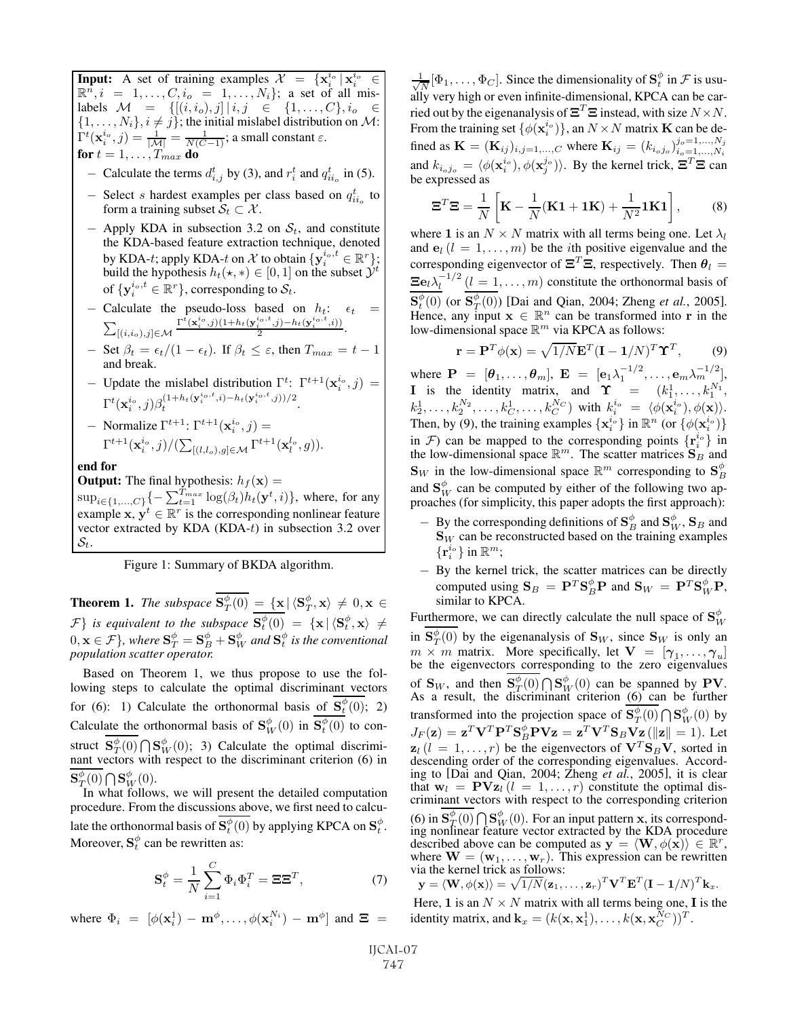**Input:** A set of training examples  $\mathcal{X} = {\mathbf{x}_i^{i_0}} | \mathbf{x}_i^{i_0} \in \mathbb{R}^n$   $i = 1$   $C_i = 1$   $N_i$  a set of all mis- $\mathbb{R}^n, i = 1, \ldots, C, i_0 = 1, \ldots, N_i$ ; a set of all mis-<br>labels  $\mathcal{M} = \{[(i, i_0), j_0], i_1 \in \{1, \ldots, C\}, i_0 \in \{1, \ldots, C\}\}$ labels  $M = \{[(i, i_o), j] | i, j \in \{1, ..., C\}, i_o \in$ <br>{1  $N \}$   $i \neq j$ }; the initial mislabel distribution on M;  $\{1,\ldots,N_i\}, i \neq j\}$ ; the initial mislabel distribution on M:<br> $\Gamma^t(\mathbf{x}^{i_0}, i) = \frac{1}{\gamma} = \frac{1}{\gamma} \mathbf{1}$  is small constant  $\epsilon$ .  $\Gamma^t(\mathbf{x}_i^{i_0},j) = \frac{1}{|\mathcal{M}|} = \frac{1}{\mathcal{N}(C-1)};$  a small constant  $\varepsilon$ . for  $t = 1, \ldots, T_{max}$  do

- Calculate the terms  $d_{i,j}^t$  by (3), and  $r_i^t$  and  $q_{ii}^t$  in (5).

- − Select s hardest examples per class based on  $q_{ii}^t$  to form a training subset  $S \subset \mathcal{X}$ form a training subset  $S_t \subset \mathcal{X}$ .
- $-$  Apply KDA in subsection 3.2 on  $S_t$ , and constitute the KDA-based feature extraction technique, denoted by KDA-t; apply KDA-t on  $\mathcal X$  to obtain  $\{y_i^{i_0,t} \in \mathbb R^r\}$ ;<br>build the hypothesis  $h_i(x) \in [0, 1]$  on the subset  $\mathcal Y^t$ build the hypothesis  $h_t(\star, \star) \in [0, 1]$  on the subset  $\hat{\mathcal{Y}}^t$ of  $\{y_i^{i_o,t} \in \mathbb{R}^r\}$ , corresponding to  $\mathcal{S}_t$ .
- Calculate the pseudo-loss based on  $h_t$ :  $\epsilon_t$  =  $\sum_{[(i,i_1),j]\in\mathcal{M}} \frac{\Gamma^t(x_i^{i_0},j)(1+h_t(y_i^{i_0,t},j)-h_t(y_i^{i_0,t},i))}{2}$ .  $\sum_{[(i,i_o),j]\in\mathcal{M}}$  $\frac{\Gamma^{t}({\bf x}_{i}^{i_{o}},j)(1+h_{t}({\bf y}_{i}^{i_{o},t},j)-h_{t}({\bf y}_{i}^{i_{o},t},i))}{2}.$
- $-$  Set  $\beta_t = \epsilon_t/(1 \epsilon_t)$ . If  $\beta_t \leq \varepsilon$ , then  $T_{max} = t 1$ <br>and break and break.
- $-$  Update the mislabel distribution Γ<sup>t</sup>: Γ<sup>t+1</sup>( $\mathbf{x}_i^{i_0}$ , *j*) =  $\Gamma^{t}(\mathbf{x}_{i}^{i_{o}},j)\beta_{t}^{(1+h_{t}(\mathbf{y}_{i}^{i_{o},t},i)-h_{t}(\mathbf{y}_{i}^{i_{o},t},j))/2}.$
- $-$  Normalize Γ<sup>t+1</sup>: Γ<sup>t+1</sup>( $\mathbf{x}_i^{i_0}, j$ ) =  $\Gamma^{t+1}(\mathbf{x}^{i_o}_i,j)/(\sum_{[(l,l_o),g]\in\mathcal{M}}\Gamma^{t+1}(\mathbf{x}_l^{l_o},g)).$

end for

**Output:** The final hypothesis:  $h_f(\mathbf{x}) =$ <br> $\sum_{k=1}^{T_{max}} \frac{\log(A)}{k} h_f(\mathbf{x}^t)$ 

 $\sup_{i \in \{1,...,C\}}\{-\sum_{t=1}^{T_{max}}\log(\beta_t)h_t(\mathbf{y}^t, i)\},\$  where, for any example **x**,  $y^t \in \mathbb{R}^r$  is the corresponding nonlinear feature vector extracted by KDA  $(KDA-t)$  in subsection 3.2 over  $\mathcal{S}_t.$ 

Figure 1: Summary of BKDA algorithm.

**Theorem 1.** *The subspace*  $\mathbf{S}_T^{\phi}(0) = {\mathbf{x} | \langle \mathbf{S}_T^{\phi}, \mathbf{x} \rangle \neq 0, \mathbf{x} \in \mathbb{R}^3}$  $\mathcal{F}$  is equivalent to the subspace  $\mathbf{S}_{\ell}^{\phi}(0) = {\mathbf{x} | \langle \mathbf{S}_{\ell}^{\phi}, \mathbf{x} \rangle \neq 0, \mathbf{x} \in \mathbb{R}^d, \text{ where } \mathbf{S}_{\ell}^{\phi} = \mathbf{S}_{\ell}^{\phi} + \mathbf{S}_{\ell}^{\phi}$  and  $\mathbf{S}_{\ell}^{\phi}$  is the conventional  $0, \mathbf{x} \in \mathcal{F}$ , where  $\mathbf{S}_{T}^{\phi} = \mathbf{S}_{B}^{\phi} + \mathbf{S}_{W}^{\phi}$  and  $\mathbf{S}_{t}^{\phi}$  is the conventional population scatter operator *population scatter operator.*

Based on Theorem 1, we thus propose to use the following steps to calculate the optimal discriminant vectors for (6): 1) Calculate the orthonormal basis of  $\mathbf{S}_{t}^{\phi}(0)$ ; 2)<br>Calculate the orthonormal basis of  $\mathbf{S}_{W}^{\phi}(0)$  in  $\mathbf{S}_{t}^{\phi}(0)$  to con-<br> $\overline{\mathbf{S}_{t}^{\phi}(0)} \cap \mathbf{S}_{t}^{\phi}(0)$ . 2)  $\overline{\mathbf{S}_{t}^{\phi}(0)}$  is the state struct  $\mathbf{S}_{T}^{\varphi}(0) \bigcap \mathbf{S}_{W}^{\varphi}(0)$ ; 3) Calculate the optimal discrimi-<br>nant vectors with respect to the discriminant criterion (6) in nant vectors with respect to the discriminant criterion (6) in  $\mathbf{S}_T^{\phi}(0) \bigcap \mathbf{S}_W^{\phi}(0)$ .<br>In what follow

In what follows, we will present the detailed computation procedure. From the discussions above, we first need to calculate the orthonormal basis of  $\mathbf{S}_{t}^{\phi}$  (0) by applying KPCA on  $\mathbf{S}_{t}^{\phi}$ .<br>Moreover  $\mathbf{S}_{t}^{\phi}$  can be rewritten as: Moreover,  $S_t^{\phi}$  can be rewritten as:

$$
\mathbf{S}_t^{\phi} = \frac{1}{N} \sum_{i=1}^C \Phi_i \Phi_i^T = \mathbf{\Xi} \mathbf{\Xi}^T,\tag{7}
$$

where  $\Phi_i = [\phi(\mathbf{x}_i^1) - \mathbf{m}^\phi, \dots, \phi(\mathbf{x}_i^{N_i}) - \mathbf{m}^\phi]$  and  $\Xi$  =

 $\frac{1}{\sqrt{N}}[\Phi_1,\ldots,\Phi_C]$ . Since the dimensionality of  $\mathbf{S}_t^{\phi}$  in  $\mathcal F$  is usu-<br>ally very high or even infinite-dimensional KPCA can be carally very high or even infinite-dimensional, KPCA can be carried out by the eigenanalysis of  $\mathbf{\Xi}^T \mathbf{\Xi}$  instead, with size  $N \times N$ . From the training set  $\{\phi(\mathbf{x}_i^{i_0})\}$ , an  $N \times N$  matrix **K** can be de-<br>final as  $\mathbf{K} = (\mathbf{K} \times \mathbf{K})$  where  $\mathbf{K} = (k_0, k_0)$ fined as  $\mathbf{K} = (\mathbf{K}_{ij})_{i,j=1,...,C}$  where  $\mathbf{K}_{ij} = (k_{i_0j_0})_{i_0=1,...,N_i}^{j_0=1,...,N_j}$  $i_o=1,\ldots,N_i$ <br> $-T$ and  $k_{i_o j_o} = \langle \phi(\mathbf{x}_i^{i_o}), \phi(\mathbf{x}_j^{j_o}) \rangle$ . By the kernel trick,  $\Xi^T \Xi$  can be expressed as be expressed as

$$
\mathbf{\Xi}^T \mathbf{\Xi} = \frac{1}{N} \left[ \mathbf{K} - \frac{1}{N} (\mathbf{K} \mathbf{1} + \mathbf{1} \mathbf{K}) + \frac{1}{N^2} \mathbf{1} \mathbf{K} \mathbf{1} \right],\tag{8}
$$

where 1 is an  $N \times N$  matrix with all terms being one. Let  $\lambda_l$ and  $\mathbf{e}_l$  ( $l = 1, \ldots, m$ ) be the *i*th positive eigenvalue and the corresponding eigenvector of  $\Xi^T \Xi$ , respectively. Then  $\theta_l =$  $\Xi e_l \lambda_l^{-1/2}$   $(l = 1, ..., m)$  constitute the orthonormal basis of  $\mathbf{S}_{\ell}^{\phi}(0)$  (or  $\mathbf{S}_{\ell}^{\phi}(0)$ ) [Dai and Qian, 2004; Zheng *et al.*, 2005].<br>Hence, any input  $\mathbf{x} \in \mathbb{R}^{n}$  can be transformed into **r** in the Hence, any input  $\mathbf{x} \in \mathbb{R}^n$  can be transformed into **r** in the low-dimensional space  $\mathbb{R}^m$  via KPCA as follows:

$$
\mathbf{r} = \mathbf{P}^T \phi(\mathbf{x}) = \sqrt{1/N} \mathbf{E}^T (\mathbf{I} - \mathbf{1}/N)^T \mathbf{\hat{T}}^T, \quad (9)
$$

where  $\mathbf{P} = [\theta_1, \dots, \theta_m], \mathbf{E} = [\mathbf{e}_1 \lambda_1^{-1/2}, \dots, \mathbf{e}_m \lambda_m^{-1/2}],$ <br> **I** is the identity matrix and  $\mathbf{X} = (\mathbf{h}^1, \dots, \mathbf{h}^N)$ **I** is the identity matrix, and **Υ** =  $(k_1^1, \ldots, k_1^{N_1}, k_2^{N_2}, \ldots, k_1^{N_2}, k_2^{N_2}, \ldots, k_1^{N_2}, k_2^{N_2}, \ldots, k_1^{N_2}, k_2^{N_2}, \ldots, k_1^{N_2}, k_2^{N_2}, \ldots, k_n^{N_n}, k_2^{N_2}, \ldots, k_n^{N_n}, k_2^{N_2}, \ldots, k_n^{N_n}, k_2^{N_2}, \ldots, k_n^{N_n}, k_2^{N_2}, \ldots,$  $k_2^1, \ldots, k_2^{N_2}, \ldots, k_C^1, \ldots, k_C^{N_C}$  with  $k_i^{i_0} = \langle \phi(\mathbf{x}_i^{i_0}), \phi(\mathbf{x}) \rangle$ .<br>Then by (0) the training examples  $\{\mathbf{x}_i^{i_0}\}$  in  $\mathbb{R}^n$  (or  $\{\phi(\mathbf{x}_i^{i_0})\}$ Then, by (9), the training examples  $\{x_i^{i_0}\}\$  in  $\mathbb{R}^n$  (or  $\{\phi(x_i^{i_0})\}$ <br>in  $\mathcal{F}_0$  can be manned to the corresponding points  $\{x_i^{i_0}\}$  in in  $\mathcal{F}$ ) can be mapped to the corresponding points  $\{r_i^{i_0}\}$  in the low-dimensional space  $\mathbb{R}^m$ . The scatter matrices  $S_n$  and the low-dimensional space  $\mathbb{R}^m$ . The scatter matrices  $\mathbf{S}_B$  and  $\mathbf{S}_W$  in the low-dimensional space  $\mathbb{R}^m$  corresponding to  $\mathbf{S}_B^{\phi}$ and  $\mathbf{S}_{W}^{\phi}$  can be computed by either of the following two approaches (for simplicity this paper adopts the first approach): proaches (for simplicity, this paper adopts the first approach):

- $-\mathbf{B}$ y the corresponding definitions of  $\mathbf{S}_{B}^{\phi}$  and  $\mathbf{S}_{W}^{\phi}$ ,  $\mathbf{S}_{B}$  and  $\mathbf{S}_{W}$  can be reconstructed based on the training examples  $\mathbf{S}_W$  can be reconstructed based on the training examples  $\{\mathbf r_i^{i_o}\}$  in  $\mathbb R^m$ ;<br> **D** is the set of  $\mathbb R^m$
- − By the kernel trick, the scatter matrices can be directly computed using  $S_B = P^T S_B^{\phi} P$  and  $S_W = P^T S_W^{\phi} P$ , similar to KPCA similar to KPCA.

Furthermore, we can directly calculate the null space of  $S_W^{\phi}$ in  $\overline{S_T^{\phi}(0)}$  by the eigenanalysis of  $S_W$ , since  $S_W$  is only an  $m \times m$  matrix. More specifically let  $V = [\alpha, \alpha]$  $m \times m$  matrix. More specifically, let  $V = [\gamma_1, \dots, \gamma_u]$ be the eigenvectors corresponding to the zero eigenvalues of  $\mathbf{S}_W$ , and then  $\mathbf{S}_T^{\varphi}(0) \bigcap \mathbf{S}_W^{\varphi}$ <br>As a result, the discriminant As a result, the discriminant criterion (6) can be further transformed into the projection space of  $\mathbf{S}_T^{\phi}(0) \cap \mathbf{S}_W^{\phi}(0)$  by<br>  $L(\mathbf{S}) = \mathbf{S}_T^T \mathbf{M}^T \mathbf{D}^T \mathbf{S}^{\phi} \mathbf{D} \mathbf{Y}_{\mathbf{S}} = \mathbf{S}_T^T \mathbf{M}^T \mathbf{S} \mathbf{Y}_{\mathbf{S}} \left( \|\mathbf{s}\|_{\mathbf{S}}^{(0)} - \mathbf{I} \right)$ . Let  $J_F(z) = \mathbf{z}^T \mathbf{V}^T \mathbf{P}^T \mathbf{S}_{\beta}^{\phi} \mathbf{P} \mathbf{V} \mathbf{z} = \mathbf{z}^T \mathbf{V}^T \mathbf{S}_{\beta} \mathbf{V} \mathbf{z} (\|\mathbf{z}\| = 1).$  Let  $z_l$  ( $l = 1, \ldots, r$ ) be the eigenvectors of  $V^T S_B V$ , sorted in descending order of the corresponding eigenvalues. According to [Dai and Qian, 2004; Zheng *et al.*, 2005], it is clear that  $w_l = \textbf{PVz}_l$   $(l = 1, \ldots, r)$  constitute the optimal discriminant vectors with respect to the corresponding criterion (6) in  $\mathbf{S}_{T}^{\varphi}(0) \bigcap \mathbf{S}_{W}^{\varphi}(0)$ . For an input pattern **x**, its correspond-<br>ing nonlinear feature vector extracted by the KDA procedure ing nonlinear feature vector extracted by the KDA procedure described above can be computed as  $\mathbf{y} = \langle \mathbf{W}, \phi(\mathbf{x}) \rangle \in \mathbb{R}^r$ , where  $\mathbf{W} = (\mathbf{w}_1, \dots, \mathbf{w}_r)$ . This expression can be rewritten via the kernel trick as follows: via the kernel trick as follows:  $\mathbf{y} = \langle \mathbf{W}, \phi(\mathbf{x}) \rangle = \sqrt{1/N} (\mathbf{z}_1, \dots, \mathbf{z}_r)^T \mathbf{V}^T \mathbf{E}^T (\mathbf{I} - \mathbf{1}/N)^T \mathbf{k}_x.$ 

Here, **1** is an  $N \times N$  matrix with all terms being one, **I** is the identity matrix, and  $\mathbf{k}_x = (k(\mathbf{x}, \mathbf{x}_1^1), \dots, k(\mathbf{x}, \mathbf{x}_C^{N_C}))^T$ .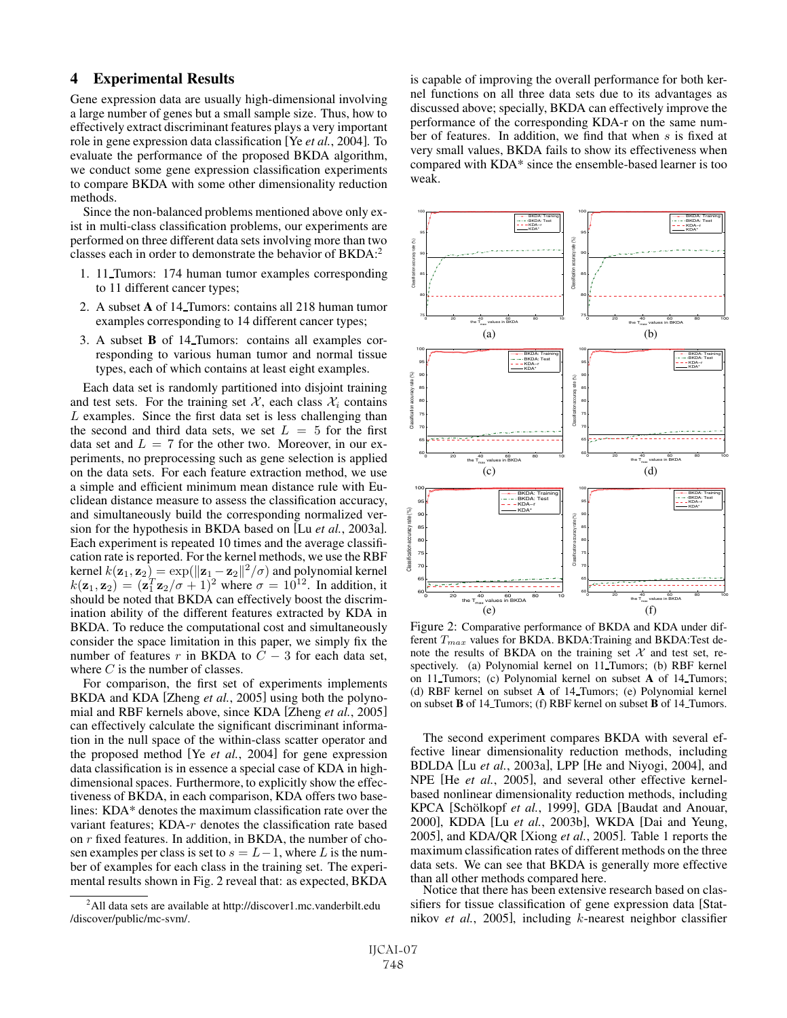## 4 Experimental Results

Gene expression data are usually high-dimensional involving a large number of genes but a small sample size. Thus, how to effectively extract discriminant features plays a very important role in gene expression data classification [Ye *et al.*, 2004]. To evaluate the performance of the proposed BKDA algorithm, we conduct some gene expression classification experiments to compare BKDA with some other dimensionality reduction methods.

Since the non-balanced problems mentioned above only exist in multi-class classification problems, our experiments are performed on three different data sets involving more than two classes each in order to demonstrate the behavior of BKDA:2

- 1. 11 Tumors: 174 human tumor examples corresponding to 11 different cancer types;
- 2. A subset A of 14 Tumors: contains all 218 human tumor examples corresponding to 14 different cancer types;
- 3. A subset B of 14 Tumors: contains all examples corresponding to various human tumor and normal tissue types, each of which contains at least eight examples.

Each data set is randomly partitioned into disjoint training and test sets. For the training set  $\mathcal{X}$ , each class  $\mathcal{X}_i$  contains L examples. Since the first data set is less challenging than the second and third data sets, we set  $L = 5$  for the first data set and  $L = 7$  for the other two. Moreover, in our experiments, no preprocessing such as gene selection is applied on the data sets. For each feature extraction method, we use a simple and efficient minimum mean distance rule with Euclidean distance measure to assess the classification accuracy, and simultaneously build the corresponding normalized version for the hypothesis in BKDA based on [Lu *et al.*, 2003a]. Each experiment is repeated 10 times and the average classification rate is reported. For the kernel methods, we use the RBF kernel  $k(\mathbf{z}_1, \mathbf{z}_2) = \exp(\|\mathbf{z}_1 - \mathbf{z}_2\|^2 / \sigma)$  and polynomial kernel  $k(\mathbf{z}_1, \mathbf{z}_2) = (\mathbf{z}_1^T \mathbf{z}_2 / \sigma + 1)^2$  where  $\sigma = 10^{12}$  In addition if  $k(\mathbf{z}_1, \mathbf{z}_2) = (\mathbf{z}_1^T \mathbf{z}_2/\sigma + 1)^2$  where  $\sigma = 10^{12}$ . In addition, it should be noted that BKDA can effectively boost the discrimshould be noted that BKDA can effectively boost the discrimination ability of the different features extracted by KDA in BKDA. To reduce the computational cost and simultaneously consider the space limitation in this paper, we simply fix the number of features r in BKDA to  $\overline{C}$  – 3 for each data set, where  $C$  is the number of classes.

For comparison, the first set of experiments implements BKDA and KDA [Zheng *et al.*, 2005] using both the polynomial and RBF kernels above, since KDA [Zheng *et al.*, 2005] can effectively calculate the significant discriminant information in the null space of the within-class scatter operator and the proposed method [Ye *et al.*, 2004] for gene expression data classification is in essence a special case of KDA in highdimensional spaces. Furthermore, to explicitly show the effectiveness of BKDA, in each comparison, KDA offers two baselines: KDA\* denotes the maximum classification rate over the variant features;  $KDA-r$  denotes the classification rate based on r fixed features. In addition, in BKDA, the number of chosen examples per class is set to  $s = L-1$ , where L is the number of examples for each class in the training set. The experimental results shown in Fig. 2 reveal that: as expected, BKDA is capable of improving the overall performance for both kernel functions on all three data sets due to its advantages as discussed above; specially, BKDA can effectively improve the performance of the corresponding KDA-r on the same number of features. In addition, we find that when s is fixed at very small values, BKDA fails to show its effectiveness when compared with KDA\* since the ensemble-based learner is too weak.



Figure 2: Comparative performance of BKDA and KDA under different  $T_{max}$  values for BKDA. BKDA:Training and BKDA:Test denote the results of BKDA on the training set  $X$  and test set, respectively. (a) Polynomial kernel on 11 Tumors; (b) RBF kernel on 11 Tumors; (c) Polynomial kernel on subset A of 14 Tumors; (d) RBF kernel on subset A of 14 Tumors; (e) Polynomial kernel on subset B of 14 Tumors; (f) RBF kernel on subset B of 14 Tumors.

The second experiment compares BKDA with several effective linear dimensionality reduction methods, including BDLDA [Lu *et al.*, 2003a], LPP [He and Niyogi, 2004], and NPE [He *et al.*, 2005], and several other effective kernelbased nonlinear dimensionality reduction methods, including KPCA [Schölkopf et al., 1999], GDA [Baudat and Anouar, 2000], KDDA [Lu *et al.*, 2003b], WKDA [Dai and Yeung, 2005], and KDA/QR [Xiong *et al.*, 2005]. Table 1 reports the maximum classification rates of different methods on the three data sets. We can see that BKDA is generally more effective than all other methods compared here.

Notice that there has been extensive research based on classifiers for tissue classification of gene expression data [Statnikov *et al.*, 2005], including k-nearest neighbor classifier

<sup>&</sup>lt;sup>2</sup>All data sets are available at http://discover1.mc.vanderbilt.edu /discover/public/mc-svm/.